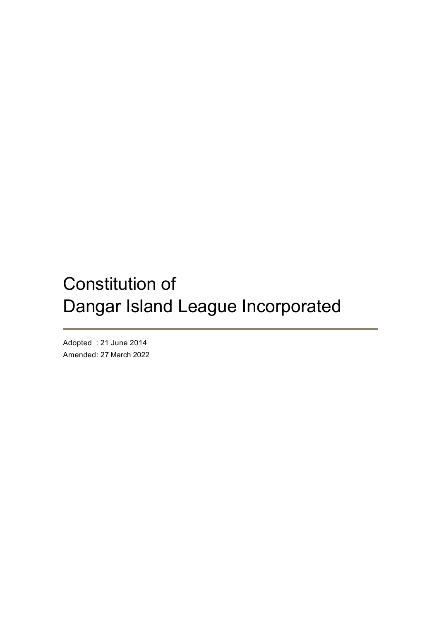# Constitution of Dangar Island League Incorporated

Adopted : 21 June 2014 Amended: 27 March 2022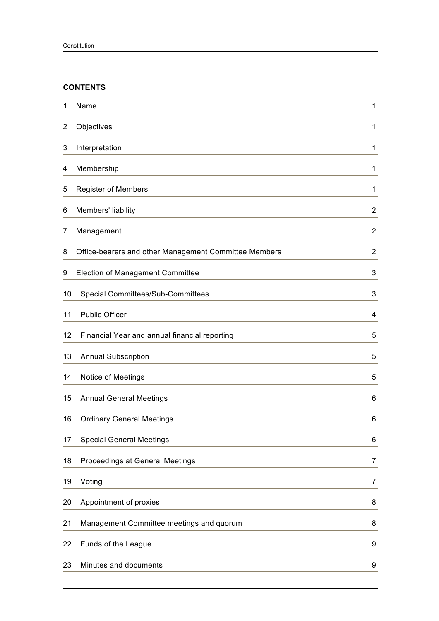## **CONTENTS**

| 1  | Name                                                  | 1              |
|----|-------------------------------------------------------|----------------|
| 2  | Objectives                                            | 1              |
| 3  | Interpretation                                        | 1              |
| 4  | Membership                                            | 1              |
| 5  | <b>Register of Members</b>                            | 1              |
| 6  | Members' liability                                    | $\overline{2}$ |
| 7  | Management                                            | $\overline{2}$ |
| 8  | Office-bearers and other Management Committee Members | $\overline{2}$ |
| 9  | Election of Management Committee                      | 3              |
| 10 | <b>Special Committees/Sub-Committees</b>              | 3              |
| 11 | <b>Public Officer</b>                                 | 4              |
| 12 | Financial Year and annual financial reporting         | 5              |
| 13 | <b>Annual Subscription</b>                            | 5              |
| 14 | Notice of Meetings                                    | 5              |
| 15 | <b>Annual General Meetings</b>                        | 6              |
| 16 | <b>Ordinary General Meetings</b>                      | 6              |
| 17 | <b>Special General Meetings</b>                       | 6              |
| 18 | Proceedings at General Meetings                       | 7              |
| 19 | Voting                                                | 7              |
| 20 | Appointment of proxies                                | 8              |
| 21 | Management Committee meetings and quorum              | 8              |
| 22 | Funds of the League                                   | 9              |
| 23 | Minutes and documents                                 | 9              |
|    |                                                       |                |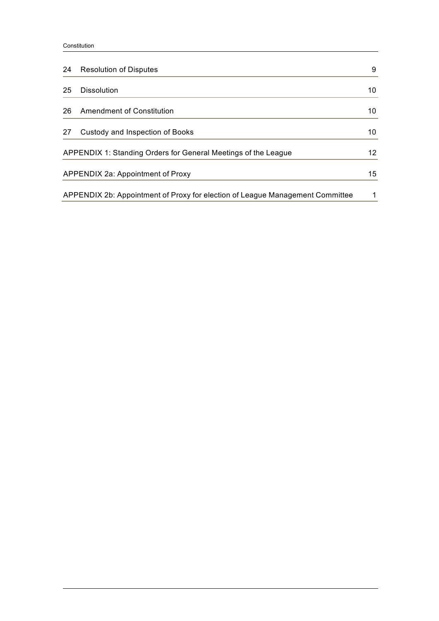#### Constitution

| 24                                | <b>Resolution of Disputes</b>                                                 | 9  |
|-----------------------------------|-------------------------------------------------------------------------------|----|
| 25                                | <b>Dissolution</b>                                                            | 10 |
| 26                                | Amendment of Constitution                                                     | 10 |
| 27                                | Custody and Inspection of Books                                               | 10 |
|                                   | APPENDIX 1: Standing Orders for General Meetings of the League                | 12 |
| APPENDIX 2a: Appointment of Proxy |                                                                               | 15 |
|                                   | APPENDIX 2b: Appointment of Proxy for election of League Management Committee |    |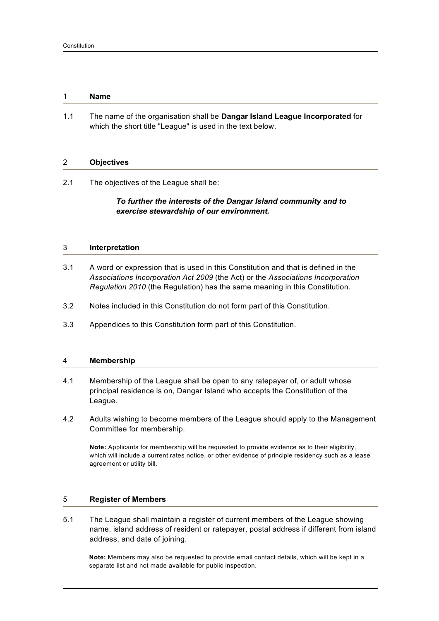#### 1 **Name**

1.1 The name of the organisation shall be **Dangar Island League Incorporated** for which the short title "League" is used in the text below.

#### 2 **Objectives**

2.1 The objectives of the League shall be:

## *To further the interests of the Dangar Island community and to exercise stewardship of our environment.*

## 3 **Interpretation**

- 3.1 A word or expression that is used in this Constitution and that is defined in the *Associations Incorporation Act 2009* (the Act) or the *Associations Incorporation Regulation 2010* (the Regulation) has the same meaning in this Constitution.
- 3.2 Notes included in this Constitution do not form part of this Constitution.
- 3.3 Appendices to this Constitution form part of this Constitution.

#### 4 **Membership**

- 4.1 Membership of the League shall be open to any ratepayer of, or adult whose principal residence is on, Dangar Island who accepts the Constitution of the League.
- 4.2 Adults wishing to become members of the League should apply to the Management Committee for membership.

**Note:** Applicants for membership will be requested to provide evidence as to their eligibility, which will include a current rates notice, or other evidence of principle residency such as a lease agreement or utility bill.

### 5 **Register of Members**

5.1 The League shall maintain a register of current members of the League showing name, island address of resident or ratepayer, postal address if different from island address, and date of joining.

**Note:** Members may also be requested to provide email contact details, which will be kept in a separate list and not made available for public inspection.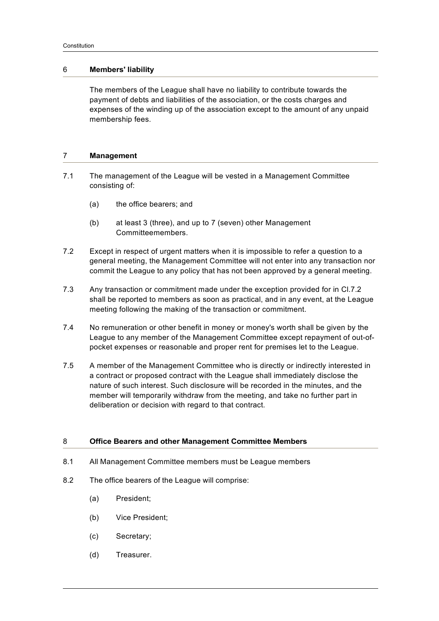### 6 **Members' liability**

The members of the League shall have no liability to contribute towards the payment of debts and liabilities of the association, or the costs charges and expenses of the winding up of the association except to the amount of any unpaid membership fees.

## 7 **Management**

- 7.1 The management of the League will be vested in a Management Committee consisting of:
	- (a) the office bearers; and
	- (b) at least 3 (three), and up to 7 (seven) other Management Committeemembers.
- 7.2 Except in respect of urgent matters when it is impossible to refer a question to a general meeting, the Management Committee will not enter into any transaction nor commit the League to any policy that has not been approved by a general meeting.
- 7.3 Any transaction or commitment made under the exception provided for in Cl.7.2 shall be reported to members as soon as practical, and in any event, at the League meeting following the making of the transaction or commitment.
- 7.4 No remuneration or other benefit in money or money's worth shall be given by the League to any member of the Management Committee except repayment of out-ofpocket expenses or reasonable and proper rent for premises let to the League.
- 7.5 A member of the Management Committee who is directly or indirectly interested in a contract or proposed contract with the League shall immediately disclose the nature of such interest. Such disclosure will be recorded in the minutes, and the member will temporarily withdraw from the meeting, and take no further part in deliberation or decision with regard to that contract.

#### 8 **Office Bearers and other Management Committee Members**

- 8.1 All Management Committee members must be League members
- 8.2 The office bearers of the League will comprise:
	- (a) President;
	- (b) Vice President;
	- (c) Secretary;
	- (d) Treasurer.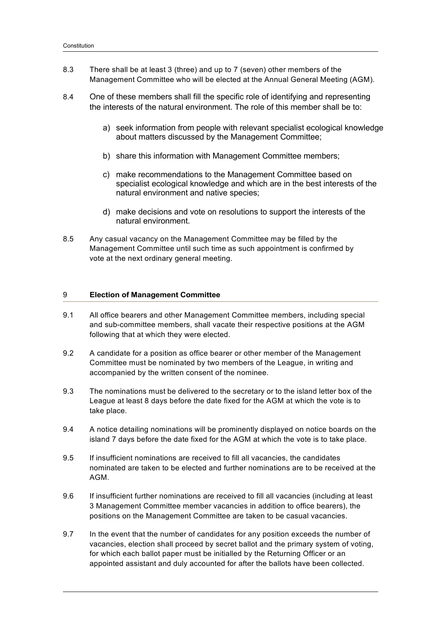- 8.3 There shall be at least 3 (three) and up to 7 (seven) other members of the Management Committee who will be elected at the Annual General Meeting (AGM).
- 8.4 One of these members shall fill the specific role of identifying and representing the interests of the natural environment. The role of this member shall be to:
	- a) seek information from people with relevant specialist ecological knowledge about matters discussed by the Management Committee;
	- b) share this information with Management Committee members;
	- c) make recommendations to the Management Committee based on specialist ecological knowledge and which are in the best interests of the natural environment and native species;
	- d) make decisions and vote on resolutions to support the interests of the natural environment.
- 8.5 Any casual vacancy on the Management Committee may be filled by the Management Committee until such time as such appointment is confirmed by vote at the next ordinary general meeting.

#### 9 **Election of Management Committee**

- 9.1 All office bearers and other Management Committee members, including special and sub-committee members, shall vacate their respective positions at the AGM following that at which they were elected.
- 9.2 A candidate for a position as office bearer or other member of the Management Committee must be nominated by two members of the League, in writing and accompanied by the written consent of the nominee.
- 9.3 The nominations must be delivered to the secretary or to the island letter box of the League at least 8 days before the date fixed for the AGM at which the vote is to take place.
- 9.4 A notice detailing nominations will be prominently displayed on notice boards on the island 7 days before the date fixed for the AGM at which the vote is to take place.
- 9.5 If insufficient nominations are received to fill all vacancies, the candidates nominated are taken to be elected and further nominations are to be received at the AGM.
- 9.6 If insufficient further nominations are received to fill all vacancies (including at least 3 Management Committee member vacancies in addition to office bearers), the positions on the Management Committee are taken to be casual vacancies.
- 9.7 In the event that the number of candidates for any position exceeds the number of vacancies, election shall proceed by secret ballot and the primary system of voting, for which each ballot paper must be initialled by the Returning Officer or an appointed assistant and duly accounted for after the ballots have been collected.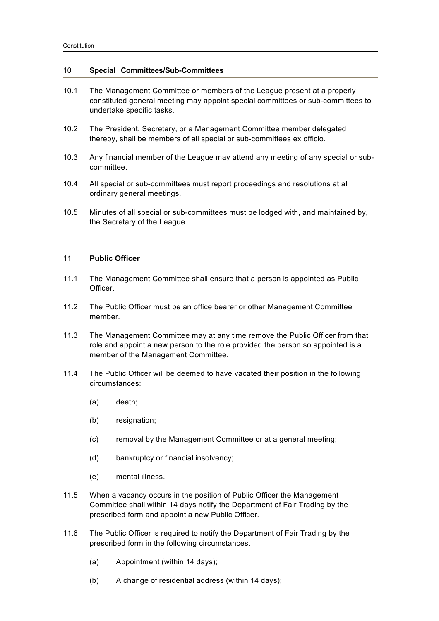#### 10 **Special Committees/Sub-Committees**

- 10.1 The Management Committee or members of the League present at a properly constituted general meeting may appoint special committees or sub-committees to undertake specific tasks.
- 10.2 The President, Secretary, or a Management Committee member delegated thereby, shall be members of all special or sub-committees ex officio.
- 10.3 Any financial member of the League may attend any meeting of any special or subcommittee.
- 10.4 All special or sub-committees must report proceedings and resolutions at all ordinary general meetings.
- 10.5 Minutes of all special or sub-committees must be lodged with, and maintained by, the Secretary of the League.

#### 11 **Public Officer**

- 11.1 The Management Committee shall ensure that a person is appointed as Public **Officer**
- 11.2 The Public Officer must be an office bearer or other Management Committee member.
- 11.3 The Management Committee may at any time remove the Public Officer from that role and appoint a new person to the role provided the person so appointed is a member of the Management Committee.
- 11.4 The Public Officer will be deemed to have vacated their position in the following circumstances:
	- (a) death;
	- (b) resignation;
	- (c) removal by the Management Committee or at a general meeting;
	- (d) bankruptcy or financial insolvency;
	- (e) mental illness.
- 11.5 When a vacancy occurs in the position of Public Officer the Management Committee shall within 14 days notify the Department of Fair Trading by the prescribed form and appoint a new Public Officer.
- 11.6 The Public Officer is required to notify the Department of Fair Trading by the prescribed form in the following circumstances.
	- (a) Appointment (within 14 days);
	- (b) A change of residential address (within 14 days);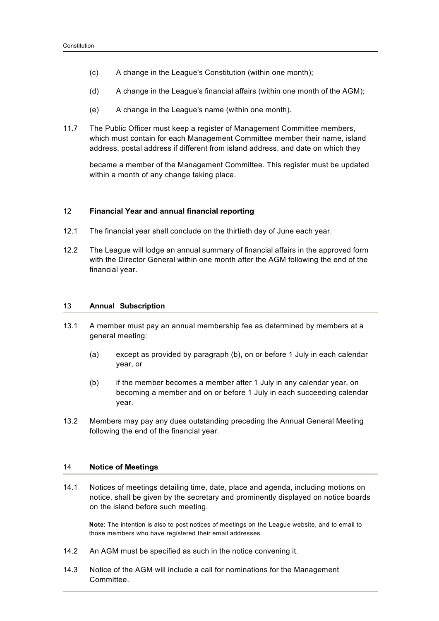- (c) A change in the League's Constitution (within one month);
- (d) A change in the League's financial affairs (within one month of the AGM);
- (e) A change in the League's name (within one month).
- 11.7 The Public Officer must keep a register of Management Committee members, which must contain for each Management Committee member their name, island address, postal address if different from island address, and date on which they

became a member of the Management Committee. This register must be updated within a month of any change taking place.

#### 12 **Financial Year and annual financial reporting**

- 12.1 The financial year shall conclude on the thirtieth day of June each year.
- 12.2 The League will lodge an annual summary of financial affairs in the approved form with the Director General within one month after the AGM following the end of the financial year.

#### 13 **Annual Subscription**

- 13.1 A member must pay an annual membership fee as determined by members at a general meeting:
	- (a) except as provided by paragraph (b), on or before 1 July in each calendar year, or
	- (b) if the member becomes a member after 1 July in any calendar year, on becoming a member and on or before 1 July in each succeeding calendar year.
- 13.2 Members may pay any dues outstanding preceding the Annual General Meeting following the end of the financial year.

## 14 **Notice of Meetings**

14.1 Notices of meetings detailing time, date, place and agenda, including motions on notice, shall be given by the secretary and prominently displayed on notice boards on the island before such meeting.

**Note**: The intention is also to post notices of meetings on the League website, and to email to those members who have registered their email addresses.

- 14.2 An AGM must be specified as such in the notice convening it.
- 14.3 Notice of the AGM will include a call for nominations for the Management Committee.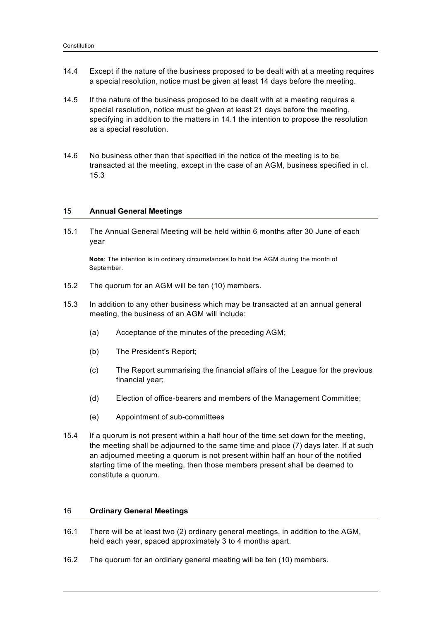- 14.4 Except if the nature of the business proposed to be dealt with at a meeting requires a special resolution, notice must be given at least 14 days before the meeting.
- 14.5 If the nature of the business proposed to be dealt with at a meeting requires a special resolution, notice must be given at least 21 days before the meeting, specifying in addition to the matters in 14.1 the intention to propose the resolution as a special resolution.
- 14.6 No business other than that specified in the notice of the meeting is to be transacted at the meeting, except in the case of an AGM, business specified in cl. 15.3

### 15 **Annual General Meetings**

15.1 The Annual General Meeting will be held within 6 months after 30 June of each year

**Note**: The intention is in ordinary circumstances to hold the AGM during the month of September.

- 15.2 The quorum for an AGM will be ten (10) members.
- 15.3 In addition to any other business which may be transacted at an annual general meeting, the business of an AGM will include:
	- (a) Acceptance of the minutes of the preceding AGM;
	- (b) The President's Report;
	- (c) The Report summarising the financial affairs of the League for the previous financial year;
	- (d) Election of office-bearers and members of the Management Committee;
	- (e) Appointment of sub-committees
- 15.4 If a quorum is not present within a half hour of the time set down for the meeting, the meeting shall be adjourned to the same time and place (7) days later. If at such an adjourned meeting a quorum is not present within half an hour of the notified starting time of the meeting, then those members present shall be deemed to constitute a quorum.

#### 16 **Ordinary General Meetings**

- 16.1 There will be at least two (2) ordinary general meetings, in addition to the AGM, held each year, spaced approximately 3 to 4 months apart.
- 16.2 The quorum for an ordinary general meeting will be ten (10) members.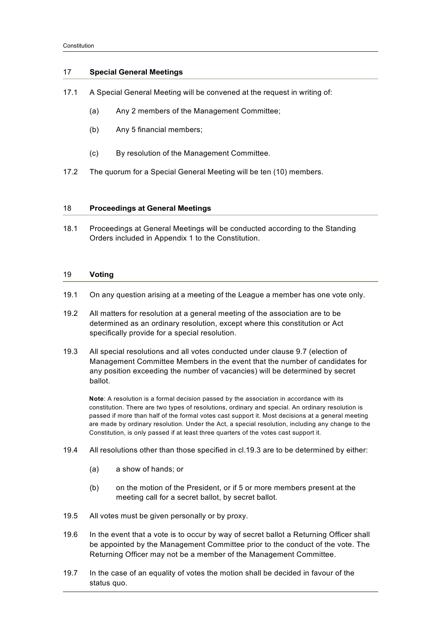## 17 **Special General Meetings**

- 17.1 A Special General Meeting will be convened at the request in writing of:
	- (a) Any 2 members of the Management Committee;
	- (b) Any 5 financial members;
	- (c) By resolution of the Management Committee.
- 17.2 The quorum for a Special General Meeting will be ten (10) members.

#### 18 **Proceedings at General Meetings**

18.1 Proceedings at General Meetings will be conducted according to the Standing Orders included in Appendix 1 to the Constitution.

#### 19 **Voting**

- 19.1 On any question arising at a meeting of the League a member has one vote only.
- 19.2 All matters for resolution at a general meeting of the association are to be determined as an ordinary resolution, except where this constitution or Act specifically provide for a special resolution.
- 19.3 All special resolutions and all votes conducted under clause 9.7 (election of Management Committee Members in the event that the number of candidates for any position exceeding the number of vacancies) will be determined by secret ballot.

**Note**: A resolution is a formal decision passed by the association in accordance with its constitution. There are two types of resolutions, ordinary and special. An ordinary resolution is passed if more than half of the formal votes cast support it. Most decisions at a general meeting are made by ordinary resolution. Under the Act, a special resolution, including any change to the Constitution, is only passed if at least three quarters of the votes cast support it.

- 19.4 All resolutions other than those specified in cl.19.3 are to be determined by either:
	- (a) a show of hands; or
	- (b) on the motion of the President, or if 5 or more members present at the meeting call for a secret ballot, by secret ballot.
- 19.5 All votes must be given personally or by proxy.
- 19.6 In the event that a vote is to occur by way of secret ballot a Returning Officer shall be appointed by the Management Committee prior to the conduct of the vote. The Returning Officer may not be a member of the Management Committee.
- 19.7 In the case of an equality of votes the motion shall be decided in favour of the status quo.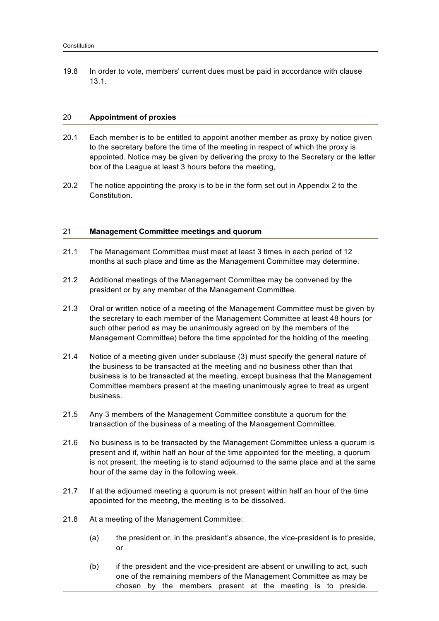19.8 In order to vote, members' current dues must be paid in accordance with clause 13.1.

#### 20 **Appointment of proxies**

- 20.1 Each member is to be entitled to appoint another member as proxy by notice given to the secretary before the time of the meeting in respect of which the proxy is appointed. Notice may be given by delivering the proxy to the Secretary or the letter box of the League at least 3 hours before the meeting,
- 20.2 The notice appointing the proxy is to be in the form set out in Appendix 2 to the **Constitution**

### 21 **Management Committee meetings and quorum**

- 21.1 The Management Committee must meet at least 3 times in each period of 12 months at such place and time as the Management Committee may determine.
- 21.2 Additional meetings of the Management Committee may be convened by the president or by any member of the Management Committee.
- 21.3 Oral or written notice of a meeting of the Management Committee must be given by the secretary to each member of the Management Committee at least 48 hours (or such other period as may be unanimously agreed on by the members of the Management Committee) before the time appointed for the holding of the meeting.
- 21.4 Notice of a meeting given under subclause (3) must specify the general nature of the business to be transacted at the meeting and no business other than that business is to be transacted at the meeting, except business that the Management Committee members present at the meeting unanimously agree to treat as urgent business.
- 21.5 Any 3 members of the Management Committee constitute a quorum for the transaction of the business of a meeting of the Management Committee.
- 21.6 No business is to be transacted by the Management Committee unless a quorum is present and if, within half an hour of the time appointed for the meeting, a quorum is not present, the meeting is to stand adjourned to the same place and at the same hour of the same day in the following week.
- 21.7 If at the adjourned meeting a quorum is not present within half an hour of the time appointed for the meeting, the meeting is to be dissolved.
- 21.8 At a meeting of the Management Committee:
	- (a) the president or, in the president's absence, the vice-president is to preside, or
	- (b) if the president and the vice-president are absent or unwilling to act, such one of the remaining members of the Management Committee as may be chosen by the members present at the meeting is to preside.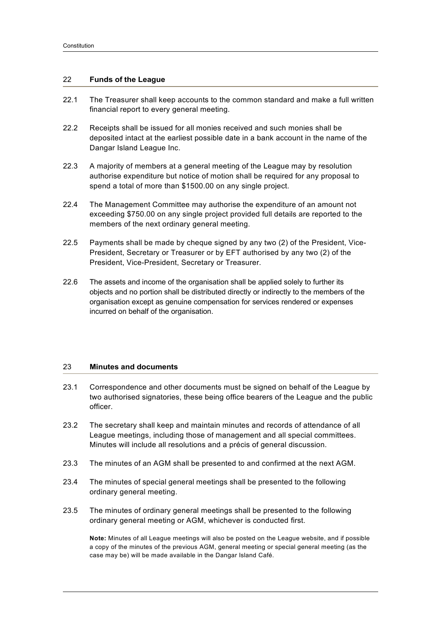## 22 **Funds of the League**

- 22.1 The Treasurer shall keep accounts to the common standard and make a full written financial report to every general meeting.
- 22.2 Receipts shall be issued for all monies received and such monies shall be deposited intact at the earliest possible date in a bank account in the name of the Dangar Island League Inc.
- 22.3 A majority of members at a general meeting of the League may by resolution authorise expenditure but notice of motion shall be required for any proposal to spend a total of more than \$1500.00 on any single project.
- 22.4 The Management Committee may authorise the expenditure of an amount not exceeding \$750.00 on any single project provided full details are reported to the members of the next ordinary general meeting.
- 22.5 Payments shall be made by cheque signed by any two (2) of the President, Vice-President, Secretary or Treasurer or by EFT authorised by any two (2) of the President, Vice-President, Secretary or Treasurer.
- 22.6 The assets and income of the organisation shall be applied solely to further its objects and no portion shall be distributed directly or indirectly to the members of the organisation except as genuine compensation for services rendered or expenses incurred on behalf of the organisation.

## 23 **Minutes and documents**

- 23.1 Correspondence and other documents must be signed on behalf of the League by two authorised signatories, these being office bearers of the League and the public officer.
- 23.2 The secretary shall keep and maintain minutes and records of attendance of all League meetings, including those of management and all special committees. Minutes will include all resolutions and a précis of general discussion.
- 23.3 The minutes of an AGM shall be presented to and confirmed at the next AGM.
- 23.4 The minutes of special general meetings shall be presented to the following ordinary general meeting.
- 23.5 The minutes of ordinary general meetings shall be presented to the following ordinary general meeting or AGM, whichever is conducted first.

**Note:** Minutes of all League meetings will also be posted on the League website, and if possible a copy of the minutes of the previous AGM, general meeting or special general meeting (as the case may be) will be made available in the Dangar Island Café.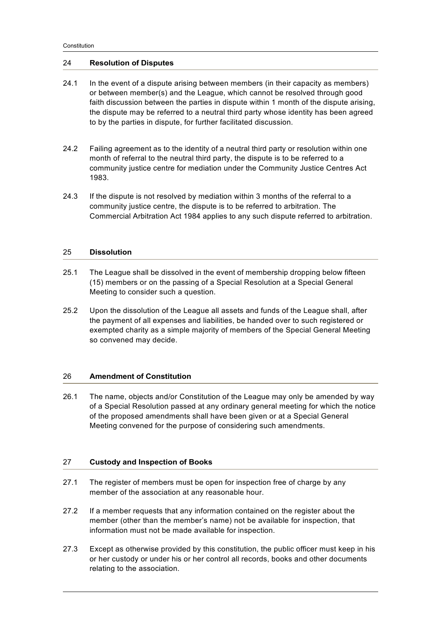## 24 **Resolution of Disputes**

- 24.1 In the event of a dispute arising between members (in their capacity as members) or between member(s) and the League, which cannot be resolved through good faith discussion between the parties in dispute within 1 month of the dispute arising, the dispute may be referred to a neutral third party whose identity has been agreed to by the parties in dispute, for further facilitated discussion.
- 24.2 Failing agreement as to the identity of a neutral third party or resolution within one month of referral to the neutral third party, the dispute is to be referred to a community justice centre for mediation under the Community Justice Centres Act 1983.
- 24.3 If the dispute is not resolved by mediation within 3 months of the referral to a community justice centre, the dispute is to be referred to arbitration. The Commercial Arbitration Act 1984 applies to any such dispute referred to arbitration.

#### 25 **Dissolution**

- 25.1 The League shall be dissolved in the event of membership dropping below fifteen (15) members or on the passing of a Special Resolution at a Special General Meeting to consider such a question.
- 25.2 Upon the dissolution of the League all assets and funds of the League shall, after the payment of all expenses and liabilities, be handed over to such registered or exempted charity as a simple majority of members of the Special General Meeting so convened may decide.

## 26 **Amendment of Constitution**

26.1 The name, objects and/or Constitution of the League may only be amended by way of a Special Resolution passed at any ordinary general meeting for which the notice of the proposed amendments shall have been given or at a Special General Meeting convened for the purpose of considering such amendments.

## 27 **Custody and Inspection of Books**

- 27.1 The register of members must be open for inspection free of charge by any member of the association at any reasonable hour.
- 27.2 If a member requests that any information contained on the register about the member (other than the member's name) not be available for inspection, that information must not be made available for inspection.
- 27.3 Except as otherwise provided by this constitution, the public officer must keep in his or her custody or under his or her control all records, books and other documents relating to the association.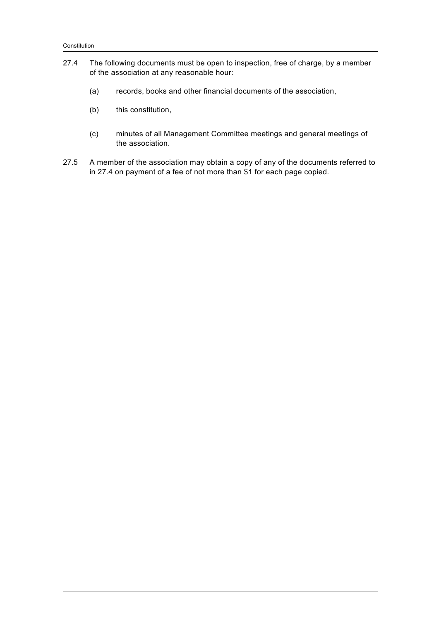- 27.4 The following documents must be open to inspection, free of charge, by a member of the association at any reasonable hour:
	- (a) records, books and other financial documents of the association,
	- (b) this constitution,
	- (c) minutes of all Management Committee meetings and general meetings of the association.
- 27.5 A member of the association may obtain a copy of any of the documents referred to in 27.4 on payment of a fee of not more than \$1 for each page copied.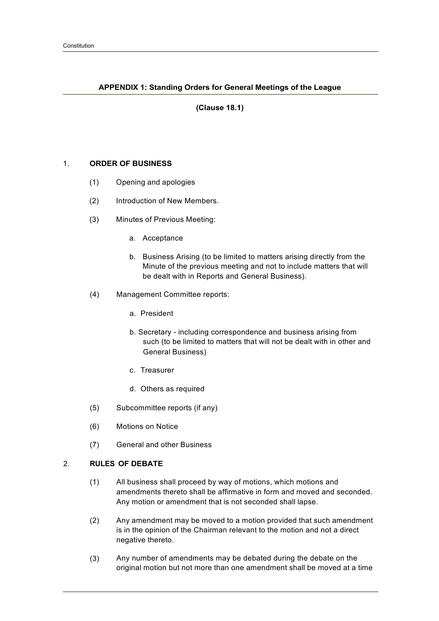## **APPENDIX 1: Standing Orders for General Meetings of the League**

## **(Clause 18.1)**

## 1. **ORDER OF BUSINESS**

- (1) Opening and apologies
- (2) Introduction of New Members.
- (3) Minutes of Previous Meeting:
	- a. Acceptance
	- b. Business Arising (to be limited to matters arising directly from the Minute of the previous meeting and not to include matters that will be dealt with in Reports and General Business).
- (4) Management Committee reports:
	- a. President
	- b. Secretary including correspondence and business arising from such (to be limited to matters that will not be dealt with in other and General Business)
	- c. Treasurer
	- d. Others as required
- (5) Subcommittee reports (if any)
- (6) Motions on Notice
- (7) General and other Business

## 2. **RULES OF DEBATE**

- (1) All business shall proceed by way of motions, which motions and amendments thereto shall be affirmative in form and moved and seconded. Any motion or amendment that is not seconded shall lapse.
- (2) Any amendment may be moved to a motion provided that such amendment is in the opinion of the Chairman relevant to the motion and not a direct negative thereto.
- (3) Any number of amendments may be debated during the debate on the original motion but not more than one amendment shall be moved at a time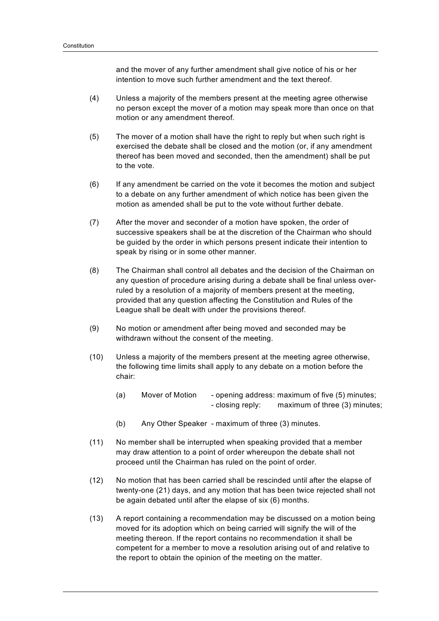and the mover of any further amendment shall give notice of his or her intention to move such further amendment and the text thereof.

- (4) Unless a majority of the members present at the meeting agree otherwise no person except the mover of a motion may speak more than once on that motion or any amendment thereof.
- (5) The mover of a motion shall have the right to reply but when such right is exercised the debate shall be closed and the motion (or, if any amendment thereof has been moved and seconded, then the amendment) shall be put to the vote.
- (6) If any amendment be carried on the vote it becomes the motion and subject to a debate on any further amendment of which notice has been given the motion as amended shall be put to the vote without further debate.
- (7) After the mover and seconder of a motion have spoken, the order of successive speakers shall be at the discretion of the Chairman who should be guided by the order in which persons present indicate their intention to speak by rising or in some other manner.
- (8) The Chairman shall control all debates and the decision of the Chairman on any question of procedure arising during a debate shall be final unless overruled by a resolution of a majority of members present at the meeting, provided that any question affecting the Constitution and Rules of the League shall be dealt with under the provisions thereof.
- (9) No motion or amendment after being moved and seconded may be withdrawn without the consent of the meeting.
- (10) Unless a majority of the members present at the meeting agree otherwise, the following time limits shall apply to any debate on a motion before the chair:
	- (a) Mover of Motion opening address: maximum of five (5) minutes; - closing reply: maximum of three (3) minutes;
	- (b) Any Other Speaker maximum of three (3) minutes.
- (11) No member shall be interrupted when speaking provided that a member may draw attention to a point of order whereupon the debate shall not proceed until the Chairman has ruled on the point of order.
- (12) No motion that has been carried shall be rescinded until after the elapse of twenty-one (21) days, and any motion that has been twice rejected shall not be again debated until after the elapse of six (6) months.
- (13) A report containing a recommendation may be discussed on a motion being moved for its adoption which on being carried will signify the will of the meeting thereon. If the report contains no recommendation it shall be competent for a member to move a resolution arising out of and relative to the report to obtain the opinion of the meeting on the matter.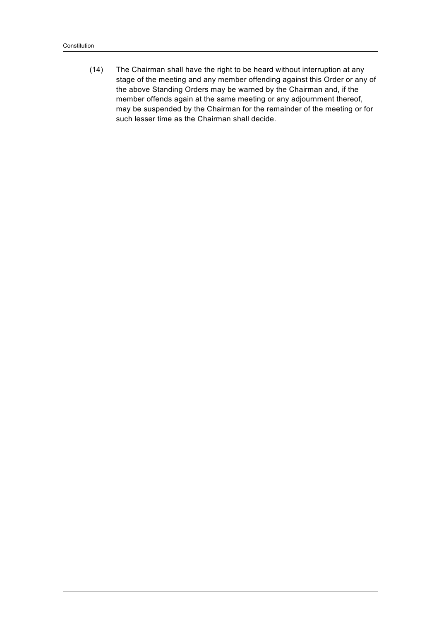(14) The Chairman shall have the right to be heard without interruption at any stage of the meeting and any member offending against this Order or any of the above Standing Orders may be warned by the Chairman and, if the member offends again at the same meeting or any adjournment thereof, may be suspended by the Chairman for the remainder of the meeting or for such lesser time as the Chairman shall decide.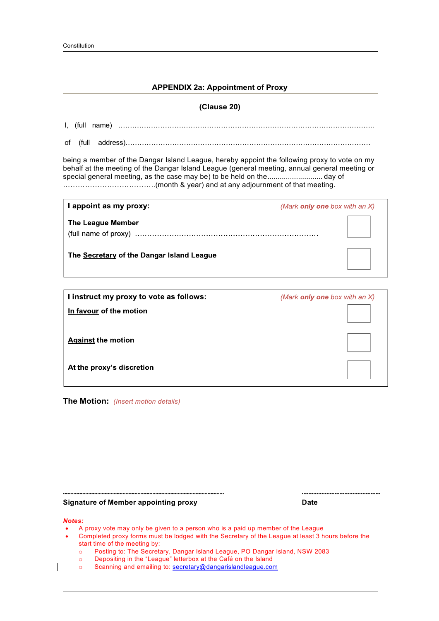## **APPENDIX 2a: Appointment of Proxy**

| (Clause 20)                                                                                                                                                                                                                                                           |                                  |  |  |  |  |
|-----------------------------------------------------------------------------------------------------------------------------------------------------------------------------------------------------------------------------------------------------------------------|----------------------------------|--|--|--|--|
|                                                                                                                                                                                                                                                                       |                                  |  |  |  |  |
| of                                                                                                                                                                                                                                                                    |                                  |  |  |  |  |
| being a member of the Dangar Island League, hereby appoint the following proxy to vote on my<br>behalf at the meeting of the Dangar Island League (general meeting, annual general meeting or<br>special general meeting, as the case may be) to be held on theday of |                                  |  |  |  |  |
| I appoint as my proxy:                                                                                                                                                                                                                                                | (Mark only one box with an $X$ ) |  |  |  |  |
| <b>The League Member</b>                                                                                                                                                                                                                                              |                                  |  |  |  |  |
| The Secretary of the Dangar Island League                                                                                                                                                                                                                             |                                  |  |  |  |  |
|                                                                                                                                                                                                                                                                       |                                  |  |  |  |  |
| I instruct my proxy to vote as follows:                                                                                                                                                                                                                               | (Mark only one box with an X)    |  |  |  |  |
| In favour of the motion                                                                                                                                                                                                                                               |                                  |  |  |  |  |
| <b>Against the motion</b>                                                                                                                                                                                                                                             |                                  |  |  |  |  |
| At the proxy's discretion                                                                                                                                                                                                                                             |                                  |  |  |  |  |

**The Motion:** *(Insert motion details)*

#### **Signature of Member appointing proxy Date**

#### *Notes:*

- A proxy vote may only be given to a person who is a paid up member of the League
- Completed proxy forms must be lodged with the Secretary of the League at least 3 hours before the start time of the meeting by:

**------------------------------------------------------------------------------------------------------------ ------------------------------------------------**

- o Posting to: The Secretary, Dangar Island League, PO Dangar Island, NSW 2083
- o Depositing in the "League" letterbox at the Café on the Island
- o Scanning and emailing to: secretary@dangarislandleague.com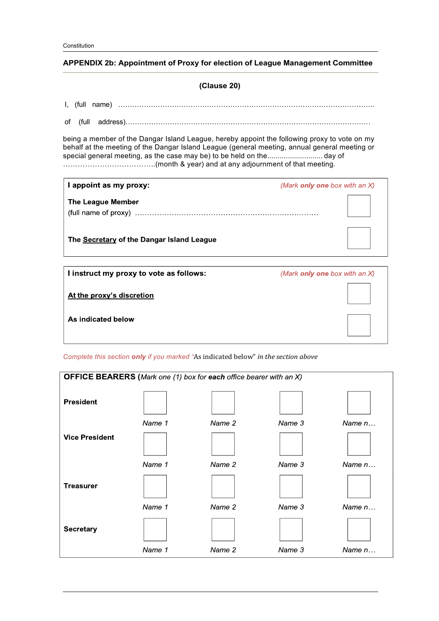## **APPENDIX 2b: Appointment of Proxy for election of League Management Committee**

## **(Clause 20)**

## I, (full name) ………………………………………………………………………………………………..

of (full address)……………………………………………………………………………………………

being a member of the Dangar Island League, hereby appoint the following proxy to vote on my behalf at the meeting of the Dangar Island League (general meeting, annual general meeting or special general meeting, as the case may be) to be held on the........................... day of ………………………………..(month & year) and at any adjournment of that meeting.

| I appoint as my proxy:                    | (Mark <b>only one</b> box with an $X$ ) |
|-------------------------------------------|-----------------------------------------|
| <b>The League Member</b>                  |                                         |
| The Secretary of the Dangar Island League |                                         |
| I instruct my proxy to vote as follows:   | (Mark only one box with an X)           |

I instruct my proxy to vote as follows:

At the proxy's discretion

As indicated below

*Complete this section only if you marked "*As indicated below" *in the section above*